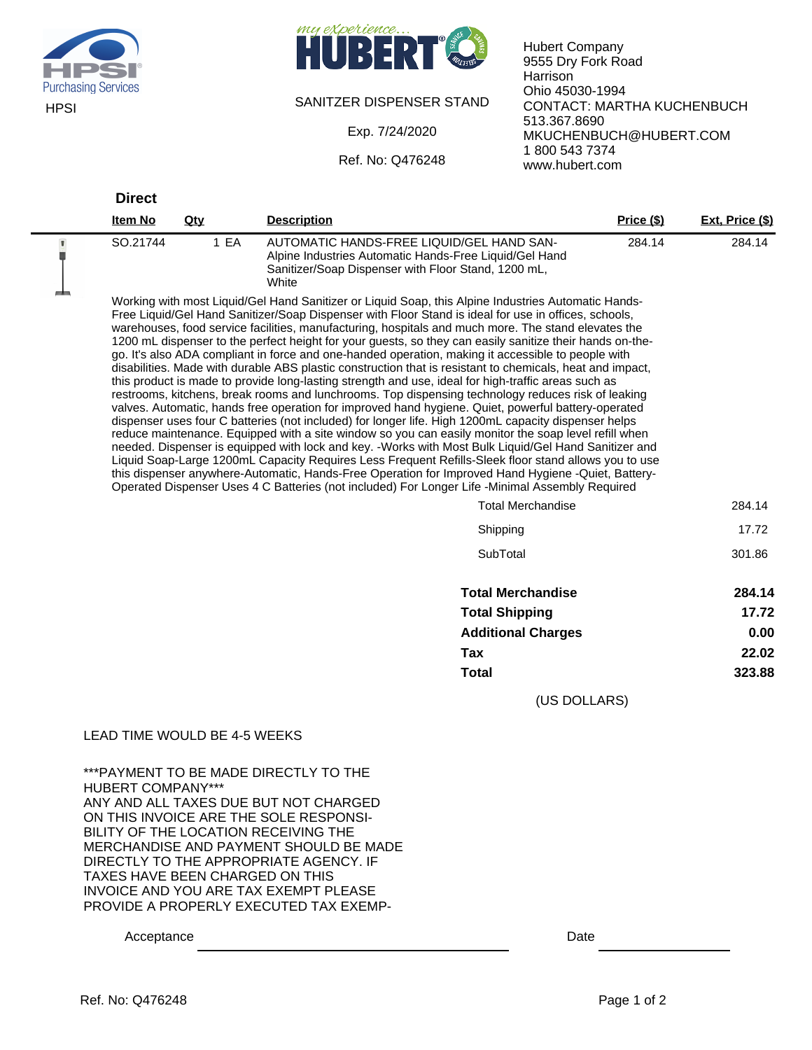



## SANITZER DISPENSER STAND

Exp. 7/24/2020

Ref. No: Q476248

Hubert Company 9555 Dry Fork Road Harrison Ohio 45030-1994 CONTACT: MARTHA KUCHENBUCH 513.367.8690 MKUCHENBUCH@HUBERT.COM 1 800 543 7374 www.hubert.com

|                | <b>Direct</b>                                                                                                                                                                                                                                                                                                                                                                                                                                                                                                                                                                                                                                                                                                                                                                                                                                                                                                                                                                                                                                                                                                                                                                                                                                                                                                                                                                                                                                                                                                                                                                                                  |                                 |                                                                                                                                                                     |                   |                 |
|----------------|----------------------------------------------------------------------------------------------------------------------------------------------------------------------------------------------------------------------------------------------------------------------------------------------------------------------------------------------------------------------------------------------------------------------------------------------------------------------------------------------------------------------------------------------------------------------------------------------------------------------------------------------------------------------------------------------------------------------------------------------------------------------------------------------------------------------------------------------------------------------------------------------------------------------------------------------------------------------------------------------------------------------------------------------------------------------------------------------------------------------------------------------------------------------------------------------------------------------------------------------------------------------------------------------------------------------------------------------------------------------------------------------------------------------------------------------------------------------------------------------------------------------------------------------------------------------------------------------------------------|---------------------------------|---------------------------------------------------------------------------------------------------------------------------------------------------------------------|-------------------|-----------------|
|                | <b>Item No</b>                                                                                                                                                                                                                                                                                                                                                                                                                                                                                                                                                                                                                                                                                                                                                                                                                                                                                                                                                                                                                                                                                                                                                                                                                                                                                                                                                                                                                                                                                                                                                                                                 | <u>Qty</u>                      | <b>Description</b>                                                                                                                                                  | <u>Price (\$)</u> | Ext, Price (\$) |
| $\blacksquare$ | SO.21744                                                                                                                                                                                                                                                                                                                                                                                                                                                                                                                                                                                                                                                                                                                                                                                                                                                                                                                                                                                                                                                                                                                                                                                                                                                                                                                                                                                                                                                                                                                                                                                                       | 1 EA                            | AUTOMATIC HANDS-FREE LIQUID/GEL HAND SAN-<br>Alpine Industries Automatic Hands-Free Liquid/Gel Hand<br>Sanitizer/Soap Dispenser with Floor Stand, 1200 mL,<br>White | 284.14            | 284.14          |
| <b>COMPANY</b> | Working with most Liquid/Gel Hand Sanitizer or Liquid Soap, this Alpine Industries Automatic Hands-<br>Free Liquid/Gel Hand Sanitizer/Soap Dispenser with Floor Stand is ideal for use in offices, schools,<br>warehouses, food service facilities, manufacturing, hospitals and much more. The stand elevates the<br>1200 mL dispenser to the perfect height for your guests, so they can easily sanitize their hands on-the-<br>go. It's also ADA compliant in force and one-handed operation, making it accessible to people with<br>disabilities. Made with durable ABS plastic construction that is resistant to chemicals, heat and impact,<br>this product is made to provide long-lasting strength and use, ideal for high-traffic areas such as<br>restrooms, kitchens, break rooms and lunchrooms. Top dispensing technology reduces risk of leaking<br>valves. Automatic, hands free operation for improved hand hygiene. Quiet, powerful battery-operated<br>dispenser uses four C batteries (not included) for longer life. High 1200mL capacity dispenser helps<br>reduce maintenance. Equipped with a site window so you can easily monitor the soap level refill when<br>needed. Dispenser is equipped with lock and key. -Works with Most Bulk Liquid/Gel Hand Sanitizer and<br>Liquid Soap-Large 1200mL Capacity Requires Less Frequent Refills-Sleek floor stand allows you to use<br>this dispenser anywhere-Automatic, Hands-Free Operation for Improved Hand Hygiene -Quiet, Battery-<br>Operated Dispenser Uses 4 C Batteries (not included) For Longer Life -Minimal Assembly Required |                                 |                                                                                                                                                                     |                   |                 |
|                |                                                                                                                                                                                                                                                                                                                                                                                                                                                                                                                                                                                                                                                                                                                                                                                                                                                                                                                                                                                                                                                                                                                                                                                                                                                                                                                                                                                                                                                                                                                                                                                                                |                                 | <b>Total Merchandise</b>                                                                                                                                            |                   | 284.14          |
|                |                                                                                                                                                                                                                                                                                                                                                                                                                                                                                                                                                                                                                                                                                                                                                                                                                                                                                                                                                                                                                                                                                                                                                                                                                                                                                                                                                                                                                                                                                                                                                                                                                |                                 | Shipping                                                                                                                                                            |                   | 17.72           |
|                |                                                                                                                                                                                                                                                                                                                                                                                                                                                                                                                                                                                                                                                                                                                                                                                                                                                                                                                                                                                                                                                                                                                                                                                                                                                                                                                                                                                                                                                                                                                                                                                                                |                                 | SubTotal                                                                                                                                                            |                   | 301.86          |
|                |                                                                                                                                                                                                                                                                                                                                                                                                                                                                                                                                                                                                                                                                                                                                                                                                                                                                                                                                                                                                                                                                                                                                                                                                                                                                                                                                                                                                                                                                                                                                                                                                                |                                 | <b>Total Merchandise</b>                                                                                                                                            |                   | 284.14          |
|                |                                                                                                                                                                                                                                                                                                                                                                                                                                                                                                                                                                                                                                                                                                                                                                                                                                                                                                                                                                                                                                                                                                                                                                                                                                                                                                                                                                                                                                                                                                                                                                                                                |                                 | <b>Total Shipping</b>                                                                                                                                               |                   | 17.72           |
|                |                                                                                                                                                                                                                                                                                                                                                                                                                                                                                                                                                                                                                                                                                                                                                                                                                                                                                                                                                                                                                                                                                                                                                                                                                                                                                                                                                                                                                                                                                                                                                                                                                |                                 | <b>Additional Charges</b>                                                                                                                                           |                   | 0.00            |
|                |                                                                                                                                                                                                                                                                                                                                                                                                                                                                                                                                                                                                                                                                                                                                                                                                                                                                                                                                                                                                                                                                                                                                                                                                                                                                                                                                                                                                                                                                                                                                                                                                                |                                 | <b>Tax</b>                                                                                                                                                          |                   | 22.02           |
|                |                                                                                                                                                                                                                                                                                                                                                                                                                                                                                                                                                                                                                                                                                                                                                                                                                                                                                                                                                                                                                                                                                                                                                                                                                                                                                                                                                                                                                                                                                                                                                                                                                |                                 | <b>Total</b>                                                                                                                                                        |                   | 323.88          |
|                |                                                                                                                                                                                                                                                                                                                                                                                                                                                                                                                                                                                                                                                                                                                                                                                                                                                                                                                                                                                                                                                                                                                                                                                                                                                                                                                                                                                                                                                                                                                                                                                                                |                                 | (US DOLLARS)                                                                                                                                                        |                   |                 |
|                |                                                                                                                                                                                                                                                                                                                                                                                                                                                                                                                                                                                                                                                                                                                                                                                                                                                                                                                                                                                                                                                                                                                                                                                                                                                                                                                                                                                                                                                                                                                                                                                                                | LEAD TIME WOULD BE 4-5 WEEKS    |                                                                                                                                                                     |                   |                 |
|                | <b>HUBERT COMPANY***</b>                                                                                                                                                                                                                                                                                                                                                                                                                                                                                                                                                                                                                                                                                                                                                                                                                                                                                                                                                                                                                                                                                                                                                                                                                                                                                                                                                                                                                                                                                                                                                                                       |                                 | *** PAYMENT TO BE MADE DIRECTLY TO THE<br>ANY AND ALL TAXES DUE BUT NOT CHARGED                                                                                     |                   |                 |
|                |                                                                                                                                                                                                                                                                                                                                                                                                                                                                                                                                                                                                                                                                                                                                                                                                                                                                                                                                                                                                                                                                                                                                                                                                                                                                                                                                                                                                                                                                                                                                                                                                                | TAXES HAVE BEEN CHARGED ON THIS | ON THIS INVOICE ARE THE SOLE RESPONSI-<br>BILITY OF THE LOCATION RECEIVING THE<br>MERCHANDISE AND PAYMENT SHOULD BE MADE<br>DIRECTLY TO THE APPROPRIATE AGENCY. IF  |                   |                 |
|                |                                                                                                                                                                                                                                                                                                                                                                                                                                                                                                                                                                                                                                                                                                                                                                                                                                                                                                                                                                                                                                                                                                                                                                                                                                                                                                                                                                                                                                                                                                                                                                                                                |                                 | <b>INVOICE AND YOU ARE TAX EXEMPT PLEASE</b><br>PROVIDE A PROPERLY EXECUTED TAX EXEMP-                                                                              |                   |                 |
|                | Acceptance                                                                                                                                                                                                                                                                                                                                                                                                                                                                                                                                                                                                                                                                                                                                                                                                                                                                                                                                                                                                                                                                                                                                                                                                                                                                                                                                                                                                                                                                                                                                                                                                     |                                 | Date                                                                                                                                                                |                   |                 |